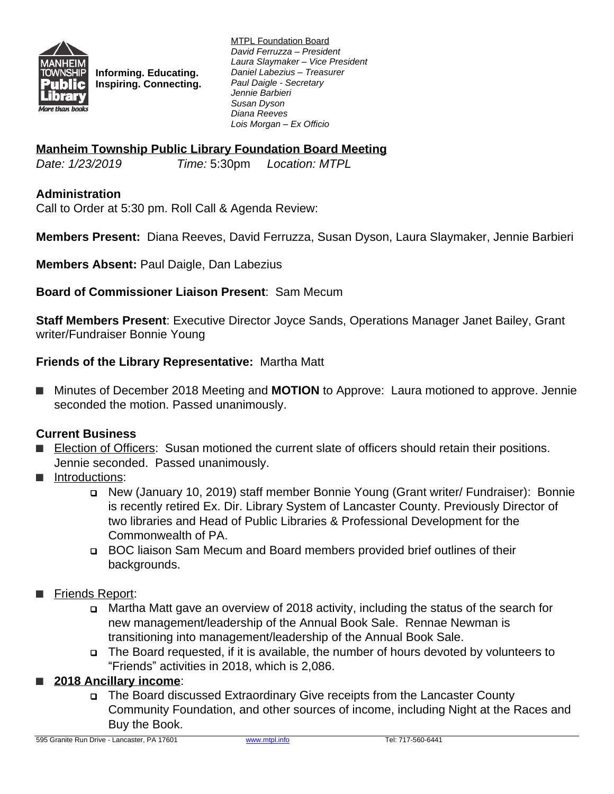

**Informing. Educating. Inspiring. Connecting.** MTPL Foundation Board *David Ferruzza – President Laura Slaymaker – Vice President Daniel Labezius – Treasurer Paul Daigle - Secretary Jennie Barbieri Susan Dyson Diana Reeves Lois Morgan – Ex Officio*

## **Manheim Township Public Library Foundation Board Meeting**

*Date: 1/23/2019 Time:* 5:30pm *Location: MTPL*

### **Administration**

Call to Order at 5:30 pm. Roll Call & Agenda Review:

**Members Present:** Diana Reeves, David Ferruzza, Susan Dyson, Laura Slaymaker, Jennie Barbieri

**Members Absent:** Paul Daigle, Dan Labezius

**Board of Commissioner Liaison Present**: Sam Mecum

**Staff Members Present**: Executive Director Joyce Sands, Operations Manager Janet Bailey, Grant writer/Fundraiser Bonnie Young

#### **Friends of the Library Representative:** Martha Matt

■ Minutes of December 2018 Meeting and **MOTION** to Approve: Laura motioned to approve. Jennie seconded the motion. Passed unanimously.

#### **Current Business**

- Election of Officers: Susan motioned the current slate of officers should retain their positions. Jennie seconded. Passed unanimously.
- **■** Introductions:
	- New (January 10, 2019) staff member Bonnie Young (Grant writer/ Fundraiser): Bonnie is recently retired Ex. Dir. Library System of Lancaster County. Previously Director of two libraries and Head of Public Libraries & Professional Development for the Commonwealth of PA.
	- BOC liaison Sam Mecum and Board members provided brief outlines of their backgrounds.
- Friends Report:
	- Martha Matt gave an overview of 2018 activity, including the status of the search for new management/leadership of the Annual Book Sale. Rennae Newman is transitioning into management/leadership of the Annual Book Sale.
	- The Board requested, if it is available, the number of hours devoted by volunteers to "Friends" activities in 2018, which is 2,086.

# **■ 2018 Ancillary income**:

 The Board discussed Extraordinary Give receipts from the Lancaster County Community Foundation, and other sources of income, including Night at the Races and Buy the Book.